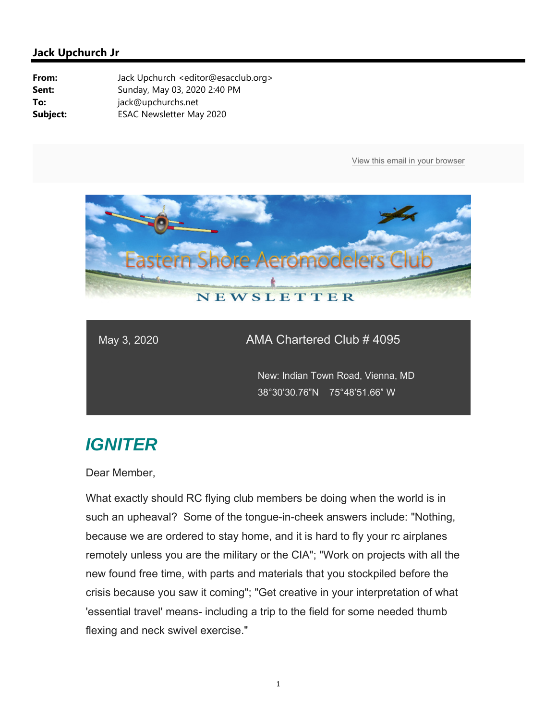

#### May 3, 2020 AMA Chartered Club # 4095

 New: Indian Town Road, Vienna, MD 38°30'30.76"N 75°48'51.66" W

# *IGNITER*

Dear Member,

What exactly should RC flying club members be doing when the world is in such an upheaval? Some of the tongue-in-cheek answers include: "Nothing, because we are ordered to stay home, and it is hard to fly your rc airplanes remotely unless you are the military or the CIA"; "Work on projects with all the new found free time, with parts and materials that you stockpiled before the crisis because you saw it coming"; "Get creative in your interpretation of what 'essential travel' means- including a trip to the field for some needed thumb flexing and neck swivel exercise."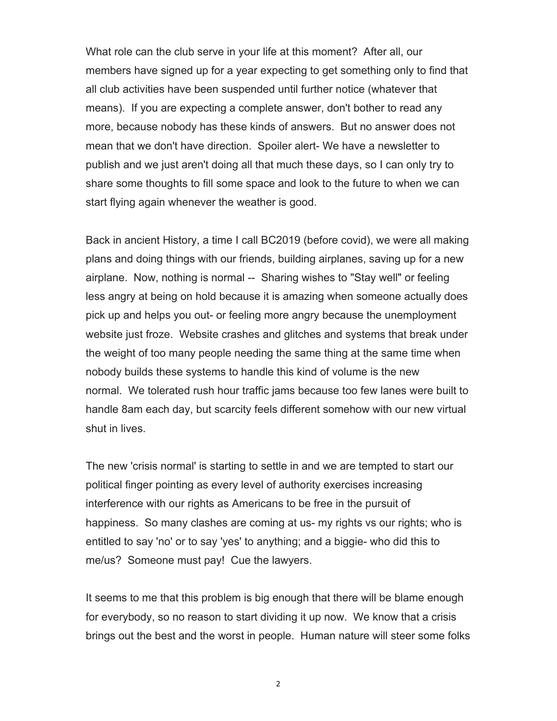What role can the club serve in your life at this moment? After all, our members have signed up for a year expecting to get something only to find that all club activities have been suspended until further notice (whatever that means). If you are expecting a complete answer, don't bother to read any more, because nobody has these kinds of answers. But no answer does not mean that we don't have direction. Spoiler alert- We have a newsletter to publish and we just aren't doing all that much these days, so I can only try to share some thoughts to fill some space and look to the future to when we can start flying again whenever the weather is good.

Back in ancient History, a time I call BC2019 (before covid), we were all making plans and doing things with our friends, building airplanes, saving up for a new airplane. Now, nothing is normal -- Sharing wishes to "Stay well" or feeling less angry at being on hold because it is amazing when someone actually does pick up and helps you out- or feeling more angry because the unemployment website just froze. Website crashes and glitches and systems that break under the weight of too many people needing the same thing at the same time when nobody builds these systems to handle this kind of volume is the new normal. We tolerated rush hour traffic jams because too few lanes were built to handle 8am each day, but scarcity feels different somehow with our new virtual shut in lives.

The new 'crisis normal' is starting to settle in and we are tempted to start our political finger pointing as every level of authority exercises increasing interference with our rights as Americans to be free in the pursuit of happiness. So many clashes are coming at us- my rights vs our rights; who is entitled to say 'no' or to say 'yes' to anything; and a biggie- who did this to me/us? Someone must pay! Cue the lawyers.

It seems to me that this problem is big enough that there will be blame enough for everybody, so no reason to start dividing it up now. We know that a crisis brings out the best and the worst in people. Human nature will steer some folks

2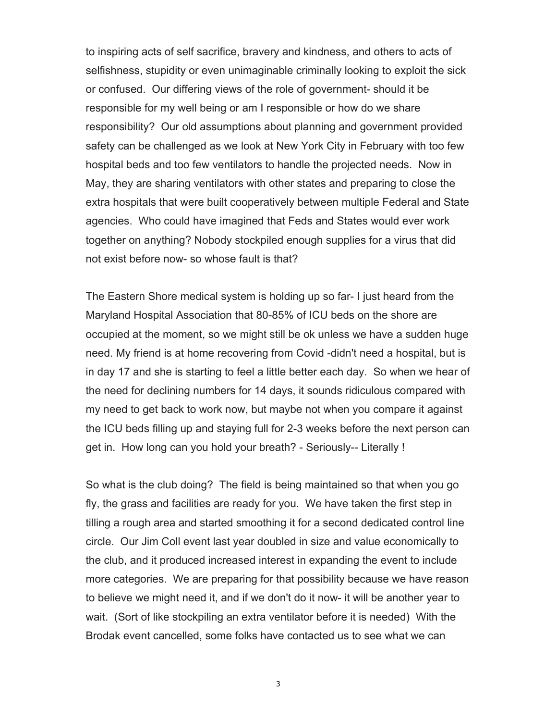to inspiring acts of self sacrifice, bravery and kindness, and others to acts of selfishness, stupidity or even unimaginable criminally looking to exploit the sick or confused. Our differing views of the role of government- should it be responsible for my well being or am I responsible or how do we share responsibility? Our old assumptions about planning and government provided safety can be challenged as we look at New York City in February with too few hospital beds and too few ventilators to handle the projected needs. Now in May, they are sharing ventilators with other states and preparing to close the extra hospitals that were built cooperatively between multiple Federal and State agencies. Who could have imagined that Feds and States would ever work together on anything? Nobody stockpiled enough supplies for a virus that did not exist before now- so whose fault is that?

The Eastern Shore medical system is holding up so far- I just heard from the Maryland Hospital Association that 80-85% of ICU beds on the shore are occupied at the moment, so we might still be ok unless we have a sudden huge need. My friend is at home recovering from Covid -didn't need a hospital, but is in day 17 and she is starting to feel a little better each day. So when we hear of the need for declining numbers for 14 days, it sounds ridiculous compared with my need to get back to work now, but maybe not when you compare it against the ICU beds filling up and staying full for 2-3 weeks before the next person can get in. How long can you hold your breath? - Seriously-- Literally !

So what is the club doing? The field is being maintained so that when you go fly, the grass and facilities are ready for you. We have taken the first step in tilling a rough area and started smoothing it for a second dedicated control line circle. Our Jim Coll event last year doubled in size and value economically to the club, and it produced increased interest in expanding the event to include more categories. We are preparing for that possibility because we have reason to believe we might need it, and if we don't do it now- it will be another year to wait. (Sort of like stockpiling an extra ventilator before it is needed) With the Brodak event cancelled, some folks have contacted us to see what we can

3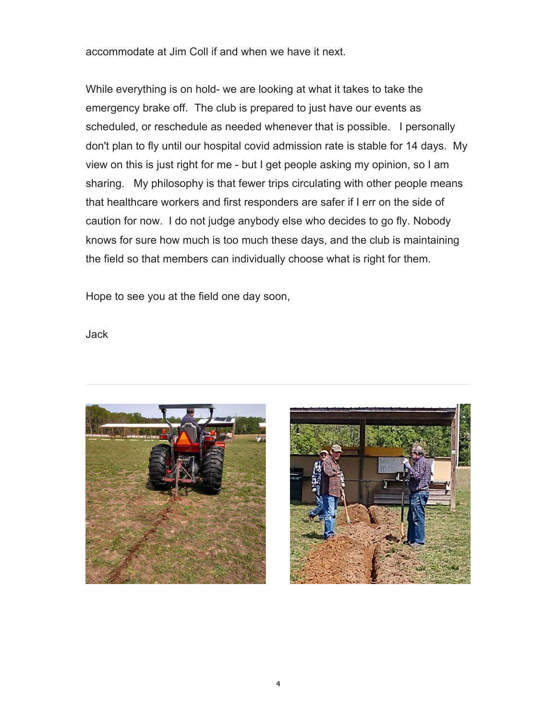accommodate at Jim Coll if and when we have it next.

While everything is on hold- we are looking at what it takes to take the emergency brake off. The club is prepared to just have our events as scheduled, or reschedule as needed whenever that is possible. I personally don't plan to fly until our hospital covid admission rate is stable for 14 days. My view on this is just right for me - but I get people asking my opinion, so I am sharing. My philosophy is that fewer trips circulating with other people means that healthcare workers and first responders are safer if I err on the side of caution for now. I do not judge anybody else who decides to go fly. Nobody knows for sure how much is too much these days, and the club is maintaining the field so that members can individually choose what is right for them.

Hope to see you at the field one day soon,

Jack



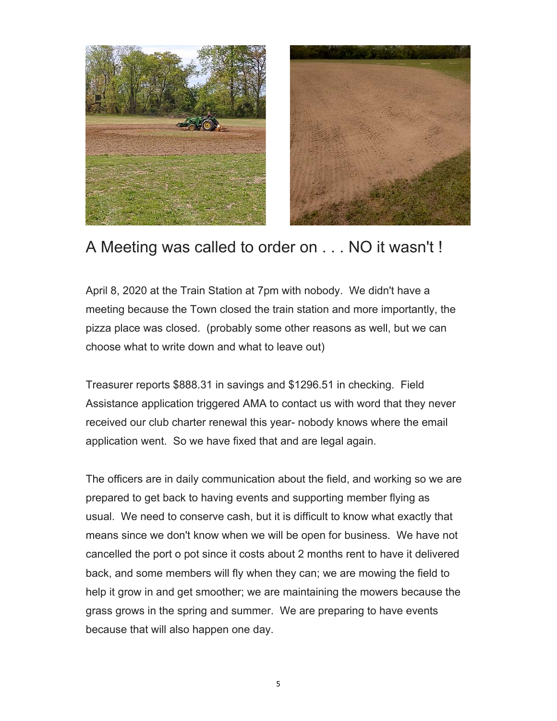



### A Meeting was called to order on . . . NO it wasn't !

April 8, 2020 at the Train Station at 7pm with nobody. We didn't have a meeting because the Town closed the train station and more importantly, the pizza place was closed. (probably some other reasons as well, but we can choose what to write down and what to leave out)

Treasurer reports \$888.31 in savings and \$1296.51 in checking. Field Assistance application triggered AMA to contact us with word that they never received our club charter renewal this year- nobody knows where the email application went. So we have fixed that and are legal again.

The officers are in daily communication about the field, and working so we are prepared to get back to having events and supporting member flying as usual. We need to conserve cash, but it is difficult to know what exactly that means since we don't know when we will be open for business. We have not cancelled the port o pot since it costs about 2 months rent to have it delivered back, and some members will fly when they can; we are mowing the field to help it grow in and get smoother; we are maintaining the mowers because the grass grows in the spring and summer. We are preparing to have events because that will also happen one day.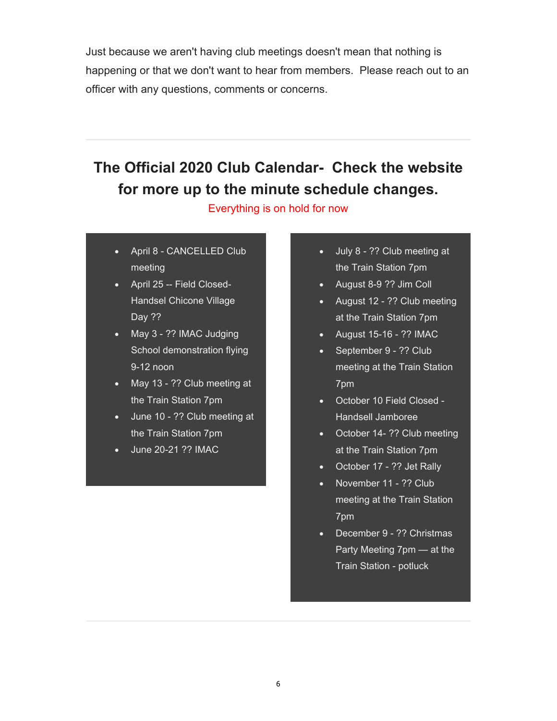Just because we aren't having club meetings doesn't mean that nothing is happening or that we don't want to hear from members. Please reach out to an officer with any questions, comments or concerns.

## **The Official 2020 Club Calendar- Check the website for more up to the minute schedule changes.**

Everything is on hold for now

- April 8 CANCELLED Club meeting
- April 25 -- Field Closed-Handsel Chicone Village Day ??
- May 3 ?? IMAC Judging School demonstration flying 9-12 noon
- May 13 ?? Club meeting at the Train Station 7pm
- June 10 ?? Club meeting at the Train Station 7pm
- June 20-21 ?? IMAC
- July 8 ?? Club meeting at the Train Station 7pm
- August 8-9 ?? Jim Coll
- August 12 ?? Club meeting at the Train Station 7pm
- $\bullet$  August 15-16 ?? IMAC
- September 9 ?? Club meeting at the Train Station 7pm
- October 10 Field Closed Handsell Jamboree
- October 14- ?? Club meeting at the Train Station 7pm
- October 17 ?? Jet Rally
- November 11 ?? Club meeting at the Train Station 7pm
- December 9 ?? Christmas Party Meeting 7pm — at the Train Station - potluck